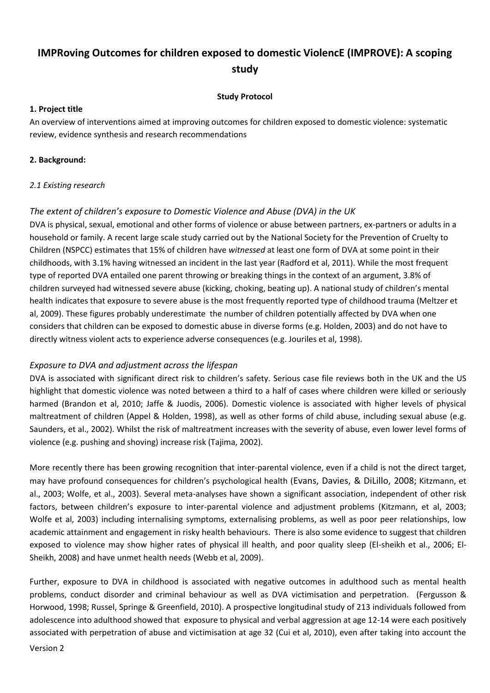# **IMPRoving Outcomes for children exposed to domestic ViolencE (IMPROVE): A scoping study**

### **Study Protocol**

### **1. Project title**

An overview of interventions aimed at improving outcomes for children exposed to domestic violence: systematic review, evidence synthesis and research recommendations

### **2. Background:**

## *2.1 Existing research*

## *The extent of children's exposure to Domestic Violence and Abuse (DVA) in the UK*

DVA is physical, sexual, emotional and other forms of violence or abuse between partners, ex-partners or adults in a household or family. A recent large scale study carried out by the National Society for the Prevention of Cruelty to Children (NSPCC) estimates that 15% of children have *witnessed* at least one form of DVA at some point in their childhoods, with 3.1% having witnessed an incident in the last year (Radford et al, 2011). While the most frequent type of reported DVA entailed one parent throwing or breaking things in the context of an argument, 3.8% of children surveyed had witnessed severe abuse (kicking, choking, beating up). A national study of children's mental health indicates that exposure to severe abuse is the most frequently reported type of childhood trauma (Meltzer et al, 2009). These figures probably underestimate the number of children potentially affected by DVA when one considers that children can be exposed to domestic abuse in diverse forms (e.g. Holden, 2003) and do not have to directly witness violent acts to experience adverse consequences (e.g. Jouriles et al, 1998).

## *Exposure to DVA and adjustment across the lifespan*

DVA is associated with significant direct risk to children's safety. Serious case file reviews both in the UK and the US highlight that domestic violence was noted between a third to a half of cases where children were killed or seriously harmed (Brandon et al, 2010; Jaffe & Juodis, 2006). Domestic violence is associated with higher levels of physical maltreatment of children (Appel & Holden, 1998), as well as other forms of child abuse, including sexual abuse (e.g. Saunders, et al., 2002). Whilst the risk of maltreatment increases with the severity of abuse, even lower level forms of violence (e.g. pushing and shoving) increase risk (Tajima, 2002).

More recently there has been growing recognition that inter-parental violence, even if a child is not the direct target, may have profound consequences for children's psychological health (Evans, Davies, & DiLillo, 2008; Kitzmann, et al., 2003; Wolfe, et al., 2003). Several meta-analyses have shown a significant association, independent of other risk factors, between children's exposure to inter-parental violence and adjustment problems (Kitzmann, et al, 2003; Wolfe et al, 2003) including internalising symptoms, externalising problems, as well as poor peer relationships, low academic attainment and engagement in risky health behaviours. There is also some evidence to suggest that children exposed to violence may show higher rates of physical ill health, and poor quality sleep (El-sheikh et al., 2006; El-Sheikh, 2008) and have unmet health needs (Webb et al, 2009).

Further, exposure to DVA in childhood is associated with negative outcomes in adulthood such as mental health problems, conduct disorder and criminal behaviour as well as DVA victimisation and perpetration. (Fergusson & Horwood, 1998; Russel, Springe & Greenfield, 2010). A prospective longitudinal study of 213 individuals followed from adolescence into adulthood showed that exposure to physical and verbal aggression at age 12-14 were each positively associated with perpetration of abuse and victimisation at age 32 (Cui et al, 2010), even after taking into account the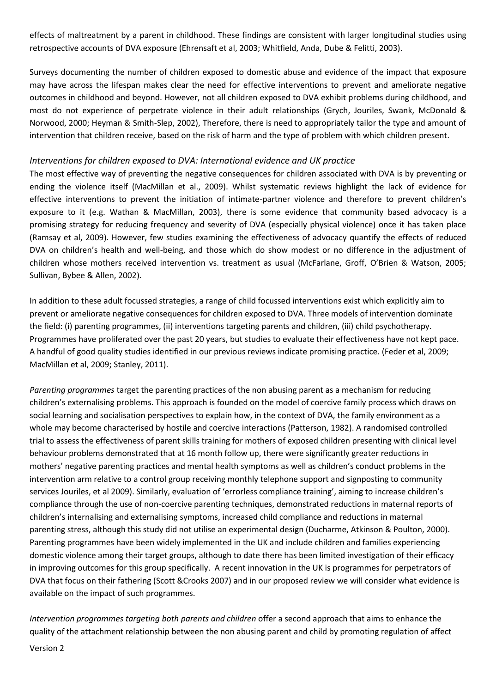effects of maltreatment by a parent in childhood. These findings are consistent with larger longitudinal studies using retrospective accounts of DVA exposure (Ehrensaft et al, 2003; Whitfield, Anda, Dube & Felitti, 2003).

Surveys documenting the number of children exposed to domestic abuse and evidence of the impact that exposure may have across the lifespan makes clear the need for effective interventions to prevent and ameliorate negative outcomes in childhood and beyond. However, not all children exposed to DVA exhibit problems during childhood, and most do not experience of perpetrate violence in their adult relationships (Grych, Jouriles, Swank, McDonald & Norwood, 2000; Heyman & Smith-Slep, 2002), Therefore, there is need to appropriately tailor the type and amount of intervention that children receive, based on the risk of harm and the type of problem with which children present.

### *Interventions for children exposed to DVA: International evidence and UK practice*

The most effective way of preventing the negative consequences for children associated with DVA is by preventing or ending the violence itself (MacMillan et al., 2009). Whilst systematic reviews highlight the lack of evidence for effective interventions to prevent the initiation of intimate-partner violence and therefore to prevent children's exposure to it (e.g. Wathan & MacMillan, 2003), there is some evidence that community based advocacy is a promising strategy for reducing frequency and severity of DVA (especially physical violence) once it has taken place (Ramsay et al, 2009). However, few studies examining the effectiveness of advocacy quantify the effects of reduced DVA on children's health and well-being, and those which do show modest or no difference in the adjustment of children whose mothers received intervention vs. treatment as usual (McFarlane, Groff, O'Brien & Watson, 2005; Sullivan, Bybee & Allen, 2002).

In addition to these adult focussed strategies, a range of child focussed interventions exist which explicitly aim to prevent or ameliorate negative consequences for children exposed to DVA. Three models of intervention dominate the field: (i) parenting programmes, (ii) interventions targeting parents and children, (iii) child psychotherapy. Programmes have proliferated over the past 20 years, but studies to evaluate their effectiveness have not kept pace. A handful of good quality studies identified in our previous reviews indicate promising practice. (Feder et al, 2009; MacMillan et al, 2009; Stanley, 2011).

*Parenting programmes* target the parenting practices of the non abusing parent as a mechanism for reducing children's externalising problems. This approach is founded on the model of coercive family process which draws on social learning and socialisation perspectives to explain how, in the context of DVA, the family environment as a whole may become characterised by hostile and coercive interactions (Patterson, 1982). A randomised controlled trial to assess the effectiveness of parent skills training for mothers of exposed children presenting with clinical level behaviour problems demonstrated that at 16 month follow up, there were significantly greater reductions in mothers' negative parenting practices and mental health symptoms as well as children's conduct problems in the intervention arm relative to a control group receiving monthly telephone support and signposting to community services Jouriles, et al 2009). Similarly, evaluation of 'errorless compliance training', aiming to increase children's compliance through the use of non-coercive parenting techniques, demonstrated reductions in maternal reports of children's internalising and externalising symptoms, increased child compliance and reductions in maternal parenting stress, although this study did not utilise an experimental design (Ducharme, Atkinson & Poulton, 2000). Parenting programmes have been widely implemented in the UK and include children and families experiencing domestic violence among their target groups, although to date there has been limited investigation of their efficacy in improving outcomes for this group specifically. A recent innovation in the UK is programmes for perpetrators of DVA that focus on their fathering (Scott &Crooks 2007) and in our proposed review we will consider what evidence is available on the impact of such programmes.

*Intervention programmes targeting both parents and children* offer a second approach that aims to enhance the quality of the attachment relationship between the non abusing parent and child by promoting regulation of affect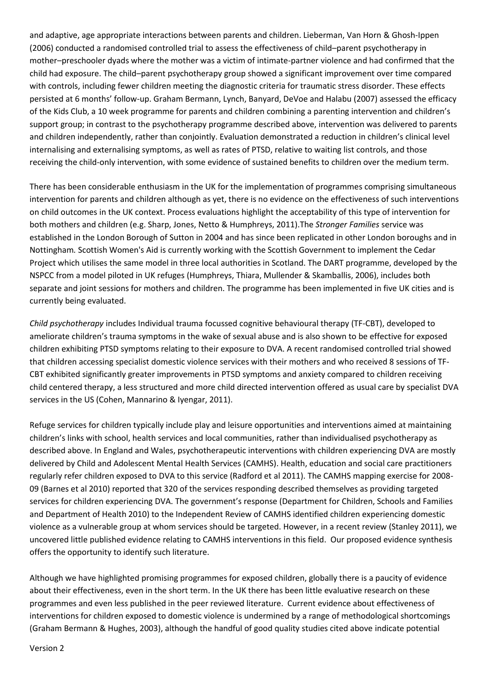and adaptive, age appropriate interactions between parents and children. Lieberman, Van Horn & Ghosh-Ippen (2006) conducted a randomised controlled trial to assess the effectiveness of child–parent psychotherapy in mother–preschooler dyads where the mother was a victim of intimate-partner violence and had confirmed that the child had exposure. The child–parent psychotherapy group showed a significant improvement over time compared with controls, including fewer children meeting the diagnostic criteria for traumatic stress disorder. These effects persisted at 6 months' follow-up. Graham Bermann, Lynch, Banyard, DeVoe and Halabu (2007) assessed the efficacy of the Kids Club, a 10 week programme for parents and children combining a parenting intervention and children's support group; in contrast to the psychotherapy programme described above, intervention was delivered to parents and children independently, rather than conjointly. Evaluation demonstrated a reduction in children's clinical level internalising and externalising symptoms, as well as rates of PTSD, relative to waiting list controls, and those receiving the child-only intervention, with some evidence of sustained benefits to children over the medium term.

There has been considerable enthusiasm in the UK for the implementation of programmes comprising simultaneous intervention for parents and children although as yet, there is no evidence on the effectiveness of such interventions on child outcomes in the UK context. Process evaluations highlight the acceptability of this type of intervention for both mothers and children (e.g. Sharp, Jones, Netto & Humphreys, 2011).The *Stronger Families* service was established in the London Borough of Sutton in 2004 and has since been replicated in other London boroughs and in Nottingham*.* Scottish Women's Aid is currently working with the Scottish Government to implement the Cedar Project which utilises the same model in three local authorities in Scotland. The DART programme, developed by the NSPCC from a model piloted in UK refuges (Humphreys, Thiara, Mullender & Skamballis, 2006), includes both separate and joint sessions for mothers and children. The programme has been implemented in five UK cities and is currently being evaluated.

*Child psychotherapy* includes Individual trauma focussed cognitive behavioural therapy (TF-CBT), developed to ameliorate children's trauma symptoms in the wake of sexual abuse and is also shown to be effective for exposed children exhibiting PTSD symptoms relating to their exposure to DVA. A recent randomised controlled trial showed that children accessing specialist domestic violence services with their mothers and who received 8 sessions of TF-CBT exhibited significantly greater improvements in PTSD symptoms and anxiety compared to children receiving child centered therapy, a less structured and more child directed intervention offered as usual care by specialist DVA services in the US (Cohen, Mannarino & Iyengar, 2011).

Refuge services for children typically include play and leisure opportunities and interventions aimed at maintaining children's links with school, health services and local communities, rather than individualised psychotherapy as described above. In England and Wales, psychotherapeutic interventions with children experiencing DVA are mostly delivered by Child and Adolescent Mental Health Services (CAMHS). Health, education and social care practitioners regularly refer children exposed to DVA to this service (Radford et al 2011). The CAMHS mapping exercise for 2008- 09 (Barnes et al 2010) reported that 320 of the services responding described themselves as providing targeted services for children experiencing DVA. The government's response (Department for Children, Schools and Families and Department of Health 2010) to the Independent Review of CAMHS identified children experiencing domestic violence as a vulnerable group at whom services should be targeted. However, in a recent review (Stanley 2011), we uncovered little published evidence relating to CAMHS interventions in this field. Our proposed evidence synthesis offers the opportunity to identify such literature.

Although we have highlighted promising programmes for exposed children, globally there is a paucity of evidence about their effectiveness, even in the short term. In the UK there has been little evaluative research on these programmes and even less published in the peer reviewed literature. Current evidence about effectiveness of interventions for children exposed to domestic violence is undermined by a range of methodological shortcomings (Graham Bermann & Hughes, 2003), although the handful of good quality studies cited above indicate potential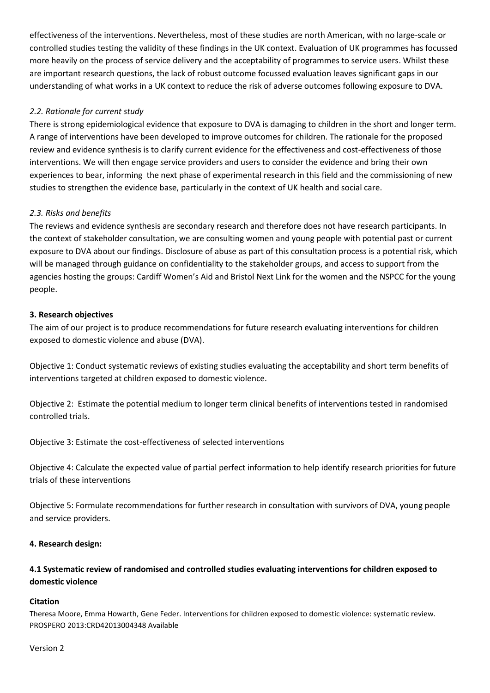effectiveness of the interventions. Nevertheless, most of these studies are north American, with no large-scale or controlled studies testing the validity of these findings in the UK context. Evaluation of UK programmes has focussed more heavily on the process of service delivery and the acceptability of programmes to service users. Whilst these are important research questions, the lack of robust outcome focussed evaluation leaves significant gaps in our understanding of what works in a UK context to reduce the risk of adverse outcomes following exposure to DVA.

## *2.2. Rationale for current study*

There is strong epidemiological evidence that exposure to DVA is damaging to children in the short and longer term. A range of interventions have been developed to improve outcomes for children. The rationale for the proposed review and evidence synthesis is to clarify current evidence for the effectiveness and cost-effectiveness of those interventions. We will then engage service providers and users to consider the evidence and bring their own experiences to bear, informing the next phase of experimental research in this field and the commissioning of new studies to strengthen the evidence base, particularly in the context of UK health and social care.

## *2.3. Risks and benefits*

The reviews and evidence synthesis are secondary research and therefore does not have research participants. In the context of stakeholder consultation, we are consulting women and young people with potential past or current exposure to DVA about our findings. Disclosure of abuse as part of this consultation process is a potential risk, which will be managed through guidance on confidentiality to the stakeholder groups, and access to support from the agencies hosting the groups: Cardiff Women's Aid and Bristol Next Link for the women and the NSPCC for the young people.

## **3. Research objectives**

The aim of our project is to produce recommendations for future research evaluating interventions for children exposed to domestic violence and abuse (DVA).

Objective 1: Conduct systematic reviews of existing studies evaluating the acceptability and short term benefits of interventions targeted at children exposed to domestic violence.

Objective 2: Estimate the potential medium to longer term clinical benefits of interventions tested in randomised controlled trials.

Objective 3: Estimate the cost-effectiveness of selected interventions

Objective 4: Calculate the expected value of partial perfect information to help identify research priorities for future trials of these interventions

Objective 5: Formulate recommendations for further research in consultation with survivors of DVA, young people and service providers.

## **4. Research design:**

## **4.1 Systematic review of randomised and controlled studies evaluating interventions for children exposed to domestic violence**

## **Citation**

Theresa Moore, Emma Howarth, Gene Feder. Interventions for children exposed to domestic violence: systematic review. PROSPERO 2013:CRD42013004348 Available

### Version 2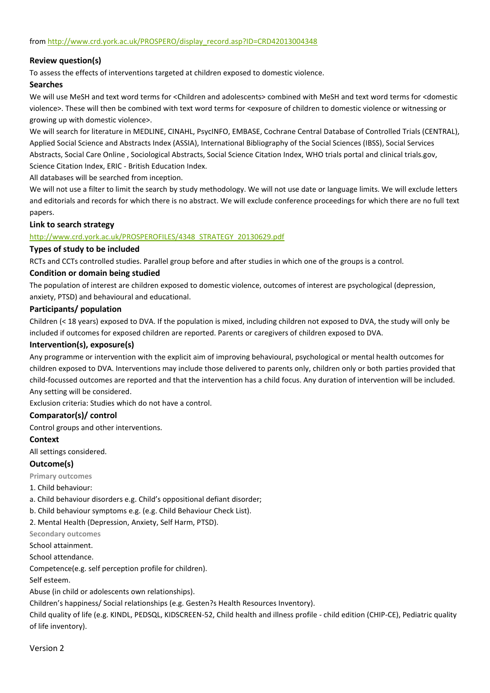#### **Review question(s)**

To assess the effects of interventions targeted at children exposed to domestic violence.

#### **Searches**

We will use MeSH and text word terms for <Children and adolescents> combined with MeSH and text word terms for <domestic violence>. These will then be combined with text word terms for <exposure of children to domestic violence or witnessing or growing up with domestic violence>.

We will search for literature in MEDLINE, CINAHL, PsycINFO, EMBASE, Cochrane Central Database of Controlled Trials (CENTRAL), Applied Social Science and Abstracts Index (ASSIA), International Bibliography of the Social Sciences (IBSS), Social Services Abstracts, Social Care Online , Sociological Abstracts, Social Science Citation Index, WHO trials portal and clinical trials.gov, Science Citation Index, ERIC - British Education Index.

All databases will be searched from inception.

We will not use a filter to limit the search by study methodology. We will not use date or language limits. We will exclude letters and editorials and records for which there is no abstract. We will exclude conference proceedings for which there are no full text papers.

#### **Link to search strategy**

#### [http://www.crd.york.ac.uk/PROSPEROFILES/4348\\_STRATEGY\\_20130629.pdf](http://www.crd.york.ac.uk/PROSPEROFILES/4348_STRATEGY_20130629.pdf)

#### **Types of study to be included**

RCTs and CCTs controlled studies. Parallel group before and after studies in which one of the groups is a control.

#### **Condition or domain being studied**

The population of interest are children exposed to domestic violence, outcomes of interest are psychological (depression, anxiety, PTSD) and behavioural and educational.

#### **Participants/ population**

Children (< 18 years) exposed to DVA. If the population is mixed, including children not exposed to DVA, the study will only be included if outcomes for exposed children are reported. Parents or caregivers of children exposed to DVA.

#### **Intervention(s), exposure(s)**

Any programme or intervention with the explicit aim of improving behavioural, psychological or mental health outcomes for children exposed to DVA. Interventions may include those delivered to parents only, children only or both parties provided that child-focussed outcomes are reported and that the intervention has a child focus. Any duration of intervention will be included. Any setting will be considered.

Exclusion criteria: Studies which do not have a control.

#### **Comparator(s)/ control**

Control groups and other interventions.

#### **Context**

All settings considered.

#### **Outcome(s)**

**Primary outcomes**

- 1. Child behaviour:
- a. Child behaviour disorders e.g. Child's oppositional defiant disorder;

b. Child behaviour symptoms e.g. (e.g. Child Behaviour Check List).

2. Mental Health (Depression, Anxiety, Self Harm, PTSD).

**Secondary outcomes**

School attainment.

School attendance.

Competence(e.g. self perception profile for children).

Self esteem.

Abuse (in child or adolescents own relationships).

Children's happiness/ Social relationships (e.g. Gesten?s Health Resources Inventory).

Child quality of life (e.g. KINDL, PEDSQL, KIDSCREEN-52, Child health and illness profile - child edition (CHIP-CE), Pediatric quality of life inventory).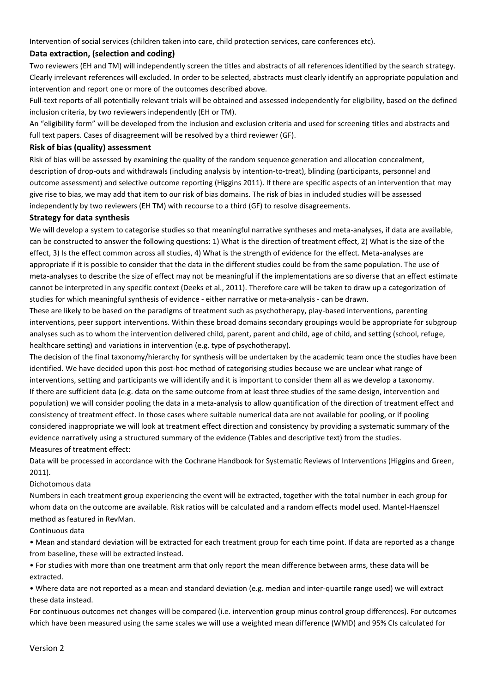Intervention of social services (children taken into care, child protection services, care conferences etc).

#### **Data extraction, (selection and coding)**

Two reviewers (EH and TM) will independently screen the titles and abstracts of all references identified by the search strategy. Clearly irrelevant references will excluded. In order to be selected, abstracts must clearly identify an appropriate population and intervention and report one or more of the outcomes described above.

Full-text reports of all potentially relevant trials will be obtained and assessed independently for eligibility, based on the defined inclusion criteria, by two reviewers independently (EH or TM).

An "eligibility form" will be developed from the inclusion and exclusion criteria and used for screening titles and abstracts and full text papers. Cases of disagreement will be resolved by a third reviewer (GF).

#### **Risk of bias (quality) assessment**

Risk of bias will be assessed by examining the quality of the random sequence generation and allocation concealment, description of drop-outs and withdrawals (including analysis by intention-to-treat), blinding (participants, personnel and outcome assessment) and selective outcome reporting (Higgins 2011). If there are specific aspects of an intervention that may give rise to bias, we may add that item to our risk of bias domains. The risk of bias in included studies will be assessed independently by two reviewers (EH TM) with recourse to a third (GF) to resolve disagreements.

#### **Strategy for data synthesis**

We will develop a system to categorise studies so that meaningful narrative syntheses and meta-analyses, if data are available, can be constructed to answer the following questions: 1) What is the direction of treatment effect, 2) What is the size of the effect, 3) Is the effect common across all studies, 4) What is the strength of evidence for the effect. Meta-analyses are appropriate if it is possible to consider that the data in the different studies could be from the same population. The use of meta-analyses to describe the size of effect may not be meaningful if the implementations are so diverse that an effect estimate cannot be interpreted in any specific context (Deeks et al., 2011). Therefore care will be taken to draw up a categorization of studies for which meaningful synthesis of evidence - either narrative or meta-analysis - can be drawn.

These are likely to be based on the paradigms of treatment such as psychotherapy, play-based interventions, parenting interventions, peer support interventions. Within these broad domains secondary groupings would be appropriate for subgroup analyses such as to whom the intervention delivered child, parent, parent and child, age of child, and setting (school, refuge, healthcare setting) and variations in intervention (e.g. type of psychotherapy).

The decision of the final taxonomy/hierarchy for synthesis will be undertaken by the academic team once the studies have been identified. We have decided upon this post-hoc method of categorising studies because we are unclear what range of interventions, setting and participants we will identify and it is important to consider them all as we develop a taxonomy. If there are sufficient data (e.g. data on the same outcome from at least three studies of the same design, intervention and population) we will consider pooling the data in a meta-analysis to allow quantification of the direction of treatment effect and consistency of treatment effect. In those cases where suitable numerical data are not available for pooling, or if pooling considered inappropriate we will look at treatment effect direction and consistency by providing a systematic summary of the evidence narratively using a structured summary of the evidence (Tables and descriptive text) from the studies. Measures of treatment effect:

Data will be processed in accordance with the Cochrane Handbook for Systematic Reviews of Interventions (Higgins and Green, 2011).

#### Dichotomous data

Numbers in each treatment group experiencing the event will be extracted, together with the total number in each group for whom data on the outcome are available. Risk ratios will be calculated and a random effects model used. Mantel-Haenszel method as featured in RevMan.

Continuous data

• Mean and standard deviation will be extracted for each treatment group for each time point. If data are reported as a change from baseline, these will be extracted instead.

• For studies with more than one treatment arm that only report the mean difference between arms, these data will be extracted.

• Where data are not reported as a mean and standard deviation (e.g. median and inter-quartile range used) we will extract these data instead.

For continuous outcomes net changes will be compared (i.e. intervention group minus control group differences). For outcomes which have been measured using the same scales we will use a weighted mean difference (WMD) and 95% CIs calculated for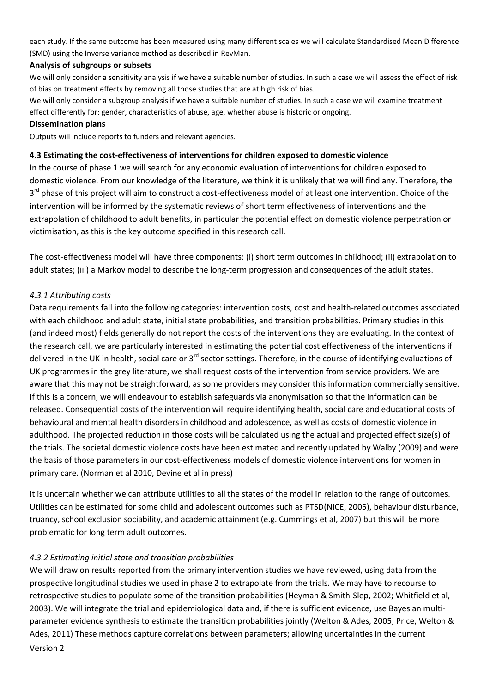each study. If the same outcome has been measured using many different scales we will calculate Standardised Mean Difference (SMD) using the Inverse variance method as described in RevMan.

### **Analysis of subgroups or subsets**

We will only consider a sensitivity analysis if we have a suitable number of studies. In such a case we will assess the effect of risk of bias on treatment effects by removing all those studies that are at high risk of bias.

We will only consider a subgroup analysis if we have a suitable number of studies. In such a case we will examine treatment effect differently for: gender, characteristics of abuse, age, whether abuse is historic or ongoing.

### **Dissemination plans**

Outputs will include reports to funders and relevant agencies.

## **4.3 Estimating the cost-effectiveness of interventions for children exposed to domestic violence**

In the course of phase 1 we will search for any economic evaluation of interventions for children exposed to domestic violence. From our knowledge of the literature, we think it is unlikely that we will find any. Therefore, the 3<sup>rd</sup> phase of this project will aim to construct a cost-effectiveness model of at least one intervention. Choice of the intervention will be informed by the systematic reviews of short term effectiveness of interventions and the extrapolation of childhood to adult benefits, in particular the potential effect on domestic violence perpetration or victimisation, as this is the key outcome specified in this research call.

The cost-effectiveness model will have three components: (i) short term outcomes in childhood; (ii) extrapolation to adult states; (iii) a Markov model to describe the long-term progression and consequences of the adult states.

## *4.3.1 Attributing costs*

Data requirements fall into the following categories: intervention costs, cost and health-related outcomes associated with each childhood and adult state, initial state probabilities, and transition probabilities. Primary studies in this (and indeed most) fields generally do not report the costs of the interventions they are evaluating. In the context of the research call, we are particularly interested in estimating the potential cost effectiveness of the interventions if delivered in the UK in health, social care or 3<sup>rd</sup> sector settings. Therefore, in the course of identifying evaluations of UK programmes in the grey literature, we shall request costs of the intervention from service providers. We are aware that this may not be straightforward, as some providers may consider this information commercially sensitive. If this is a concern, we will endeavour to establish safeguards via anonymisation so that the information can be released. Consequential costs of the intervention will require identifying health, social care and educational costs of behavioural and mental health disorders in childhood and adolescence, as well as costs of domestic violence in adulthood. The projected reduction in those costs will be calculated using the actual and projected effect size(s) of the trials. The societal domestic violence costs have been estimated and recently updated by Walby (2009) and were the basis of those parameters in our cost-effectiveness models of domestic violence interventions for women in primary care. (Norman et al 2010, Devine et al in press)

It is uncertain whether we can attribute utilities to all the states of the model in relation to the range of outcomes. Utilities can be estimated for some child and adolescent outcomes such as PTSD(NICE, 2005), behaviour disturbance, truancy, school exclusion sociability, and academic attainment (e.g. Cummings et al, 2007) but this will be more problematic for long term adult outcomes.

## *4.3.2 Estimating initial state and transition probabilities*

Version 2 We will draw on results reported from the primary intervention studies we have reviewed, using data from the prospective longitudinal studies we used in phase 2 to extrapolate from the trials. We may have to recourse to retrospective studies to populate some of the transition probabilities (Heyman & Smith-Slep, 2002; Whitfield et al, 2003). We will integrate the trial and epidemiological data and, if there is sufficient evidence, use Bayesian multiparameter evidence synthesis to estimate the transition probabilities jointly (Welton & Ades, 2005; Price, Welton & Ades, 2011) These methods capture correlations between parameters; allowing uncertainties in the current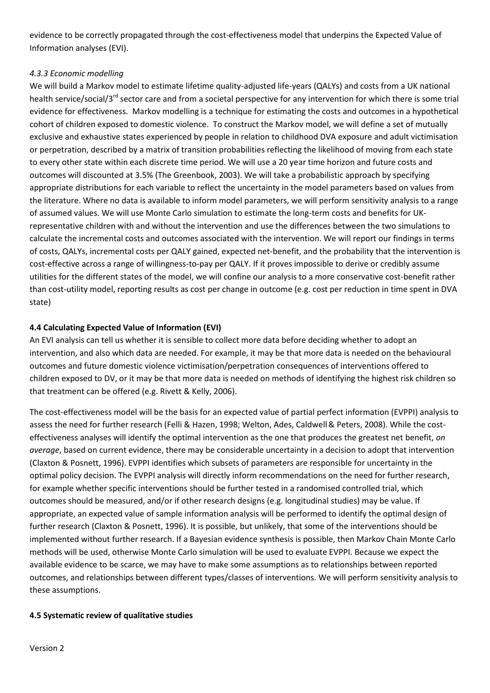evidence to be correctly propagated through the cost-effectiveness model that underpins the Expected Value of Information analyses (EVI).

## *4.3.3 Economic modelling*

We will build a Markov model to estimate lifetime quality-adjusted life-years (QALYs) and costs from a UK national health service/social/3<sup>rd</sup> sector care and from a societal perspective for any intervention for which there is some trial evidence for effectiveness. Markov modelling is a technique for estimating the costs and outcomes in a hypothetical cohort of children exposed to domestic violence. To construct the Markov model, we will define a set of mutually exclusive and exhaustive states experienced by people in relation to childhood DVA exposure and adult victimisation or perpetration, described by a matrix of transition probabilities reflecting the likelihood of moving from each state to every other state within each discrete time period. We will use a 20 year time horizon and future costs and outcomes will discounted at 3.5% (The Greenbook, 2003). We will take a probabilistic approach by specifying appropriate distributions for each variable to reflect the uncertainty in the model parameters based on values from the literature. Where no data is available to inform model parameters, we will perform sensitivity analysis to a range of assumed values. We will use Monte Carlo simulation to estimate the long-term costs and benefits for UKrepresentative children with and without the intervention and use the differences between the two simulations to calculate the incremental costs and outcomes associated with the intervention. We will report our findings in terms of costs, QALYs, incremental costs per QALY gained, expected net-benefit, and the probability that the intervention is cost-effective across a range of willingness-to-pay per QALY. If it proves impossible to derive or credibly assume utilities for the different states of the model, we will confine our analysis to a more conservative cost-benefit rather than cost-utility model, reporting results as cost per change in outcome (e.g. cost per reduction in time spent in DVA state)

## **4.4 Calculating Expected Value of Information (EVI)**

An EVI analysis can tell us whether it is sensible to collect more data before deciding whether to adopt an intervention, and also which data are needed. For example, it may be that more data is needed on the behavioural outcomes and future domestic violence victimisation/perpetration consequences of interventions offered to children exposed to DV, or it may be that more data is needed on methods of identifying the highest risk children so that treatment can be offered (e.g. Rivett & Kelly, 2006).

The cost-effectiveness model will be the basis for an expected value of partial perfect information (EVPPI) analysis to assess the need for further research (Felli & Hazen, 1998; Welton, Ades, Caldwell& Peters, 2008). While the costeffectiveness analyses will identify the optimal intervention as the one that produces the greatest net benefit, *on average*, based on current evidence, there may be considerable uncertainty in a decision to adopt that intervention (Claxton & Posnett, 1996). EVPPI identifies which subsets of parameters are responsible for uncertainty in the optimal policy decision. The EVPPI analysis will directly inform recommendations on the need for further research, for example whether specific interventions should be further tested in a randomised controlled trial, which outcomes should be measured, and/or if other research designs (e.g. longitudinal studies) may be value. If appropriate, an expected value of sample information analysis will be performed to identify the optimal design of further research (Claxton & Posnett, 1996). It is possible, but unlikely, that some of the interventions should be implemented without further research. If a Bayesian evidence synthesis is possible, then Markov Chain Monte Carlo methods will be used, otherwise Monte Carlo simulation will be used to evaluate EVPPI. Because we expect the available evidence to be scarce, we may have to make some assumptions as to relationships between reported outcomes, and relationships between different types/classes of interventions. We will perform sensitivity analysis to these assumptions.

## **4.5 Systematic review of qualitative studies**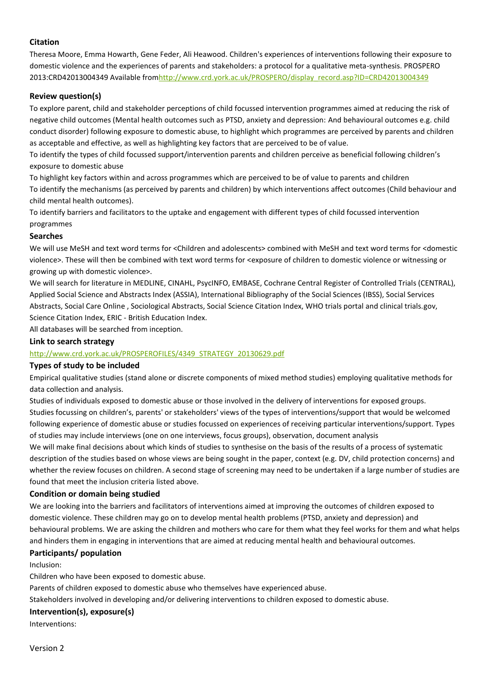## **Citation**

Theresa Moore, Emma Howarth, Gene Feder, Ali Heawood. Children's experiences of interventions following their exposure to domestic violence and the experiences of parents and stakeholders: a protocol for a qualitative meta-synthesis. PROSPERO 2013:CRD42013004349 Available fro[mhttp://www.crd.york.ac.uk/PROSPERO/display\\_record.asp?ID=CRD42013004349](http://www.crd.york.ac.uk/PROSPERO/display_record.asp?ID=CRD42013004349)

### **Review question(s)**

To explore parent, child and stakeholder perceptions of child focussed intervention programmes aimed at reducing the risk of negative child outcomes (Mental health outcomes such as PTSD, anxiety and depression: And behavioural outcomes e.g. child conduct disorder) following exposure to domestic abuse, to highlight which programmes are perceived by parents and children as acceptable and effective, as well as highlighting key factors that are perceived to be of value.

To identify the types of child focussed support/intervention parents and children perceive as beneficial following children's exposure to domestic abuse

To highlight key factors within and across programmes which are perceived to be of value to parents and children To identify the mechanisms (as perceived by parents and children) by which interventions affect outcomes (Child behaviour and child mental health outcomes).

To identify barriers and facilitators to the uptake and engagement with different types of child focussed intervention programmes

### **Searches**

We will use MeSH and text word terms for <Children and adolescents> combined with MeSH and text word terms for <domestic violence>. These will then be combined with text word terms for <exposure of children to domestic violence or witnessing or growing up with domestic violence>.

We will search for literature in MEDLINE, CINAHL, PsycINFO, EMBASE, Cochrane Central Register of Controlled Trials (CENTRAL), Applied Social Science and Abstracts Index (ASSIA), International Bibliography of the Social Sciences (IBSS), Social Services Abstracts, Social Care Online , Sociological Abstracts, Social Science Citation Index, WHO trials portal and clinical trials.gov, Science Citation Index, ERIC - British Education Index.

All databases will be searched from inception.

#### **Link to search strategy**

### [http://www.crd.york.ac.uk/PROSPEROFILES/4349\\_STRATEGY\\_20130629.pdf](http://www.crd.york.ac.uk/PROSPEROFILES/4349_STRATEGY_20130629.pdf)

#### **Types of study to be included**

Empirical qualitative studies (stand alone or discrete components of mixed method studies) employing qualitative methods for data collection and analysis.

Studies of individuals exposed to domestic abuse or those involved in the delivery of interventions for exposed groups. Studies focussing on children's, parents' or stakeholders' views of the types of interventions/support that would be welcomed following experience of domestic abuse or studies focussed on experiences of receiving particular interventions/support. Types of studies may include interviews (one on one interviews, focus groups), observation, document analysis

We will make final decisions about which kinds of studies to synthesise on the basis of the results of a process of systematic description of the studies based on whose views are being sought in the paper, context (e.g. DV, child protection concerns) and whether the review focuses on children. A second stage of screening may need to be undertaken if a large number of studies are found that meet the inclusion criteria listed above.

#### **Condition or domain being studied**

We are looking into the barriers and facilitators of interventions aimed at improving the outcomes of children exposed to domestic violence. These children may go on to develop mental health problems (PTSD, anxiety and depression) and behavioural problems. We are asking the children and mothers who care for them what they feel works for them and what helps and hinders them in engaging in interventions that are aimed at reducing mental health and behavioural outcomes.

### **Participants/ population**

Inclusion:

Children who have been exposed to domestic abuse.

Parents of children exposed to domestic abuse who themselves have experienced abuse.

Stakeholders involved in developing and/or delivering interventions to children exposed to domestic abuse.

### **Intervention(s), exposure(s)**

Interventions: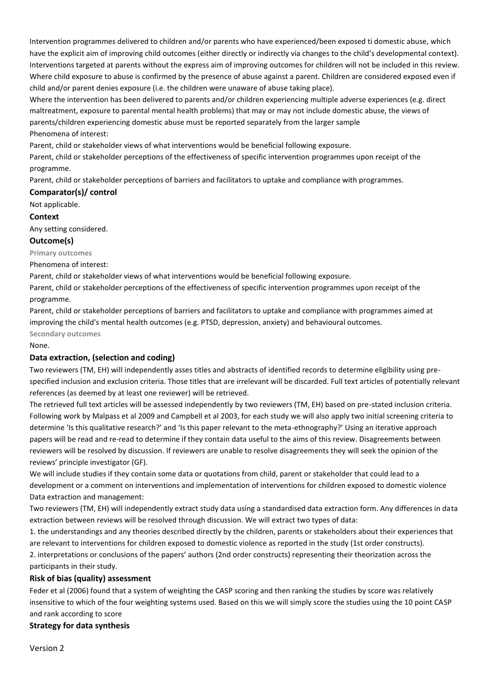Intervention programmes delivered to children and/or parents who have experienced/been exposed ti domestic abuse, which have the explicit aim of improving child outcomes (either directly or indirectly via changes to the child's developmental context). Interventions targeted at parents without the express aim of improving outcomes for children will not be included in this review. Where child exposure to abuse is confirmed by the presence of abuse against a parent. Children are considered exposed even if child and/or parent denies exposure (i.e. the children were unaware of abuse taking place).

Where the intervention has been delivered to parents and/or children experiencing multiple adverse experiences (e.g. direct maltreatment, exposure to parental mental health problems) that may or may not include domestic abuse, the views of parents/children experiencing domestic abuse must be reported separately from the larger sample Phenomena of interest:

Parent, child or stakeholder views of what interventions would be beneficial following exposure.

Parent, child or stakeholder perceptions of the effectiveness of specific intervention programmes upon receipt of the programme.

Parent, child or stakeholder perceptions of barriers and facilitators to uptake and compliance with programmes.

#### **Comparator(s)/ control**

Not applicable.

#### **Context**

Any setting considered.

#### **Outcome(s)**

**Primary outcomes**

Phenomena of interest:

Parent, child or stakeholder views of what interventions would be beneficial following exposure.

Parent, child or stakeholder perceptions of the effectiveness of specific intervention programmes upon receipt of the programme.

Parent, child or stakeholder perceptions of barriers and facilitators to uptake and compliance with programmes aimed at improving the child's mental health outcomes (e.g. PTSD, depression, anxiety) and behavioural outcomes.

**Secondary outcomes**

#### None.

### **Data extraction, (selection and coding)**

Two reviewers (TM, EH) will independently asses titles and abstracts of identified records to determine eligibility using prespecified inclusion and exclusion criteria. Those titles that are irrelevant will be discarded. Full text articles of potentially relevant references (as deemed by at least one reviewer) will be retrieved.

The retrieved full text articles will be assessed independently by two reviewers (TM, EH) based on pre-stated inclusion criteria. Following work by Malpass et al 2009 and Campbell et al 2003, for each study we will also apply two initial screening criteria to determine 'Is this qualitative research?' and 'Is this paper relevant to the meta-ethnography?' Using an iterative approach papers will be read and re-read to determine if they contain data useful to the aims of this review. Disagreements between reviewers will be resolved by discussion. If reviewers are unable to resolve disagreements they will seek the opinion of the reviews' principle investigator (GF).

We will include studies if they contain some data or quotations from child, parent or stakeholder that could lead to a development or a comment on interventions and implementation of interventions for children exposed to domestic violence Data extraction and management:

Two reviewers (TM, EH) will independently extract study data using a standardised data extraction form. Any differences in data extraction between reviews will be resolved through discussion. We will extract two types of data:

1. the understandings and any theories described directly by the children, parents or stakeholders about their experiences that are relevant to interventions for children exposed to domestic violence as reported in the study (1st order constructs).

2. interpretations or conclusions of the papers' authors (2nd order constructs) representing their theorization across the participants in their study.

### **Risk of bias (quality) assessment**

Feder et al (2006) found that a system of weighting the CASP scoring and then ranking the studies by score was relatively insensitive to which of the four weighting systems used. Based on this we will simply score the studies using the 10 point CASP and rank according to score

### **Strategy for data synthesis**

Version 2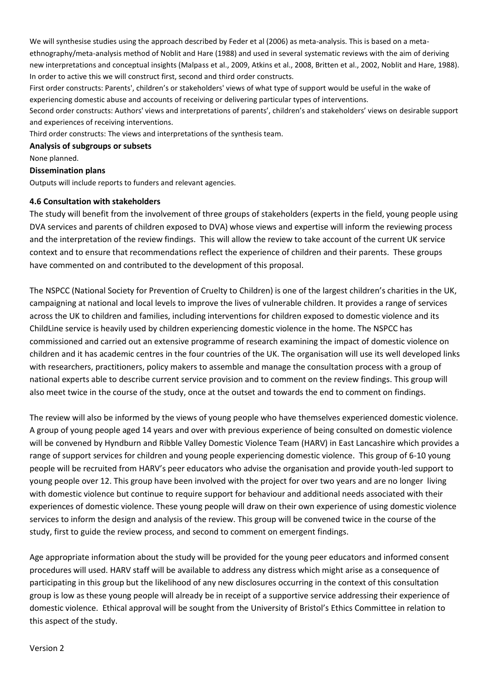We will synthesise studies using the approach described by Feder et al (2006) as meta-analysis. This is based on a metaethnography/meta-analysis method of Noblit and Hare (1988) and used in several systematic reviews with the aim of deriving new interpretations and conceptual insights (Malpass et al., 2009, Atkins et al., 2008, Britten et al., 2002, Noblit and Hare, 1988). In order to active this we will construct first, second and third order constructs.

First order constructs: Parents', children's or stakeholders' views of what type of support would be useful in the wake of experiencing domestic abuse and accounts of receiving or delivering particular types of interventions.

Second order constructs: Authors' views and interpretations of parents', children's and stakeholders' views on desirable support and experiences of receiving interventions.

Third order constructs: The views and interpretations of the synthesis team.

#### **Analysis of subgroups or subsets**

None planned.

#### **Dissemination plans**

Outputs will include reports to funders and relevant agencies.

### **4.6 Consultation with stakeholders**

The study will benefit from the involvement of three groups of stakeholders (experts in the field, young people using DVA services and parents of children exposed to DVA) whose views and expertise will inform the reviewing process and the interpretation of the review findings. This will allow the review to take account of the current UK service context and to ensure that recommendations reflect the experience of children and their parents. These groups have commented on and contributed to the development of this proposal.

The NSPCC (National Society for Prevention of Cruelty to Children) is one of the largest children's charities in the UK, campaigning at national and local levels to improve the lives of vulnerable children. It provides a range of services across the UK to children and families, including interventions for children exposed to domestic violence and its ChildLine service is heavily used by children experiencing domestic violence in the home. The NSPCC has commissioned and carried out an extensive programme of research examining the impact of domestic violence on children and it has academic centres in the four countries of the UK. The organisation will use its well developed links with researchers, practitioners, policy makers to assemble and manage the consultation process with a group of national experts able to describe current service provision and to comment on the review findings. This group will also meet twice in the course of the study, once at the outset and towards the end to comment on findings.

The review will also be informed by the views of young people who have themselves experienced domestic violence. A group of young people aged 14 years and over with previous experience of being consulted on domestic violence will be convened by Hyndburn and Ribble Valley Domestic Violence Team (HARV) in East Lancashire which provides a range of support services for children and young people experiencing domestic violence. This group of 6-10 young people will be recruited from HARV's peer educators who advise the organisation and provide youth-led support to young people over 12. This group have been involved with the project for over two years and are no longer living with domestic violence but continue to require support for behaviour and additional needs associated with their experiences of domestic violence. These young people will draw on their own experience of using domestic violence services to inform the design and analysis of the review. This group will be convened twice in the course of the study, first to guide the review process, and second to comment on emergent findings.

Age appropriate information about the study will be provided for the young peer educators and informed consent procedures will used. HARV staff will be available to address any distress which might arise as a consequence of participating in this group but the likelihood of any new disclosures occurring in the context of this consultation group is low as these young people will already be in receipt of a supportive service addressing their experience of domestic violence. Ethical approval will be sought from the University of Bristol's Ethics Committee in relation to this aspect of the study.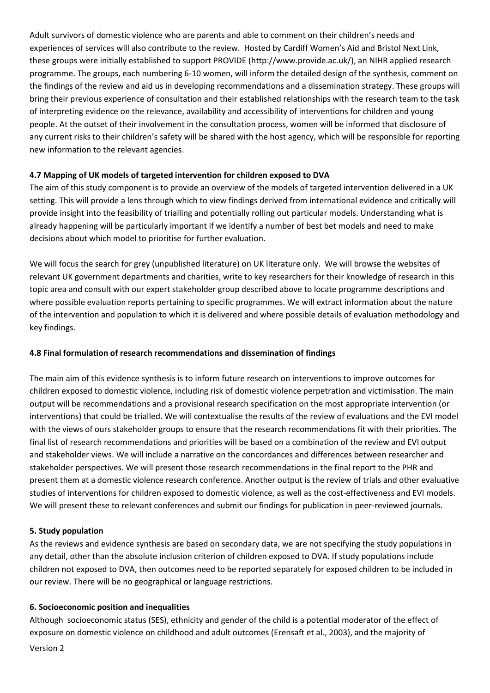Adult survivors of domestic violence who are parents and able to comment on their children's needs and experiences of services will also contribute to the review. Hosted by Cardiff Women's Aid and Bristol Next Link, these groups were initially established to support PROVIDE (http://www.provide.ac.uk/), an NIHR applied research programme. The groups, each numbering 6-10 women, will inform the detailed design of the synthesis, comment on the findings of the review and aid us in developing recommendations and a dissemination strategy. These groups will bring their previous experience of consultation and their established relationships with the research team to the task of interpreting evidence on the relevance, availability and accessibility of interventions for children and young people. At the outset of their involvement in the consultation process, women will be informed that disclosure of any current risks to their children's safety will be shared with the host agency, which will be responsible for reporting new information to the relevant agencies.

## **4.7 Mapping of UK models of targeted intervention for children exposed to DVA**

The aim of this study component is to provide an overview of the models of targeted intervention delivered in a UK setting. This will provide a lens through which to view findings derived from international evidence and critically will provide insight into the feasibility of trialling and potentially rolling out particular models. Understanding what is already happening will be particularly important if we identify a number of best bet models and need to make decisions about which model to prioritise for further evaluation.

We will focus the search for grey (unpublished literature) on UK literature only. We will browse the websites of relevant UK government departments and charities, write to key researchers for their knowledge of research in this topic area and consult with our expert stakeholder group described above to locate programme descriptions and where possible evaluation reports pertaining to specific programmes. We will extract information about the nature of the intervention and population to which it is delivered and where possible details of evaluation methodology and key findings.

## **4.8 Final formulation of research recommendations and dissemination of findings**

The main aim of this evidence synthesis is to inform future research on interventions to improve outcomes for children exposed to domestic violence, including risk of domestic violence perpetration and victimisation. The main output will be recommendations and a provisional research specification on the most appropriate intervention (or interventions) that could be trialled. We will contextualise the results of the review of evaluations and the EVI model with the views of ours stakeholder groups to ensure that the research recommendations fit with their priorities. The final list of research recommendations and priorities will be based on a combination of the review and EVI output and stakeholder views. We will include a narrative on the concordances and differences between researcher and stakeholder perspectives. We will present those research recommendations in the final report to the PHR and present them at a domestic violence research conference. Another output is the review of trials and other evaluative studies of interventions for children exposed to domestic violence, as well as the cost-effectiveness and EVI models. We will present these to relevant conferences and submit our findings for publication in peer-reviewed journals.

## **5. Study population**

As the reviews and evidence synthesis are based on secondary data, we are not specifying the study populations in any detail, other than the absolute inclusion criterion of children exposed to DVA. If study populations include children not exposed to DVA, then outcomes need to be reported separately for exposed children to be included in our review. There will be no geographical or language restrictions.

## **6. Socioeconomic position and inequalities**

Although socioeconomic status (SES), ethnicity and gender of the child is a potential moderator of the effect of exposure on domestic violence on childhood and adult outcomes (Erensaft et al., 2003), and the majority of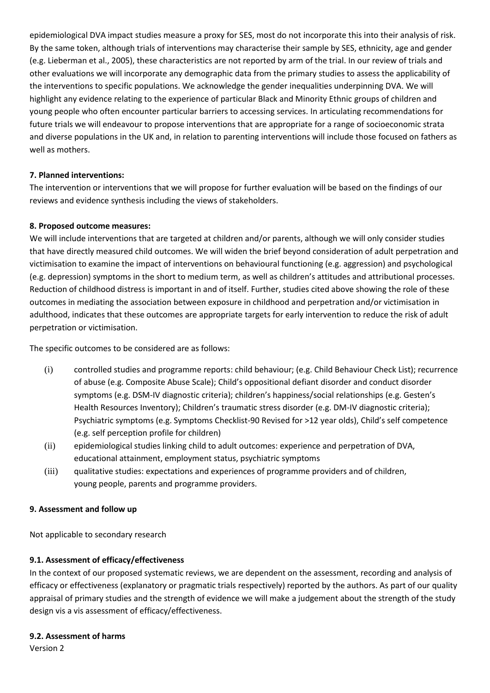epidemiological DVA impact studies measure a proxy for SES, most do not incorporate this into their analysis of risk. By the same token, although trials of interventions may characterise their sample by SES, ethnicity, age and gender (e.g. Lieberman et al., 2005), these characteristics are not reported by arm of the trial. In our review of trials and other evaluations we will incorporate any demographic data from the primary studies to assess the applicability of the interventions to specific populations. We acknowledge the gender inequalities underpinning DVA. We will highlight any evidence relating to the experience of particular Black and Minority Ethnic groups of children and young people who often encounter particular barriers to accessing services. In articulating recommendations for future trials we will endeavour to propose interventions that are appropriate for a range of socioeconomic strata and diverse populations in the UK and, in relation to parenting interventions will include those focused on fathers as well as mothers.

## **7. Planned interventions:**

The intervention or interventions that we will propose for further evaluation will be based on the findings of our reviews and evidence synthesis including the views of stakeholders.

## **8. Proposed outcome measures:**

We will include interventions that are targeted at children and/or parents, although we will only consider studies that have directly measured child outcomes. We will widen the brief beyond consideration of adult perpetration and victimisation to examine the impact of interventions on behavioural functioning (e.g. aggression) and psychological (e.g. depression) symptoms in the short to medium term, as well as children's attitudes and attributional processes. Reduction of childhood distress is important in and of itself. Further, studies cited above showing the role of these outcomes in mediating the association between exposure in childhood and perpetration and/or victimisation in adulthood, indicates that these outcomes are appropriate targets for early intervention to reduce the risk of adult perpetration or victimisation.

The specific outcomes to be considered are as follows:

- (i) controlled studies and programme reports: child behaviour; (e.g. Child Behaviour Check List); recurrence of abuse (e.g. Composite Abuse Scale); Child's oppositional defiant disorder and conduct disorder symptoms (e.g. DSM-IV diagnostic criteria); children's happiness/social relationships (e.g. Gesten's Health Resources Inventory); Children's traumatic stress disorder (e.g. DM-IV diagnostic criteria); Psychiatric symptoms (e.g. Symptoms Checklist-90 Revised for >12 year olds), Child's self competence (e.g. self perception profile for children)
- (ii) epidemiological studies linking child to adult outcomes: experience and perpetration of DVA, educational attainment, employment status, psychiatric symptoms
- (iii) qualitative studies: expectations and experiences of programme providers and of children, young people, parents and programme providers.

## **9. Assessment and follow up**

Not applicable to secondary research

## **9.1. Assessment of efficacy/effectiveness**

In the context of our proposed systematic reviews, we are dependent on the assessment, recording and analysis of efficacy or effectiveness (explanatory or pragmatic trials respectively) reported by the authors. As part of our quality appraisal of primary studies and the strength of evidence we will make a judgement about the strength of the study design vis a vis assessment of efficacy/effectiveness.

## **9.2. Assessment of harms**

Version 2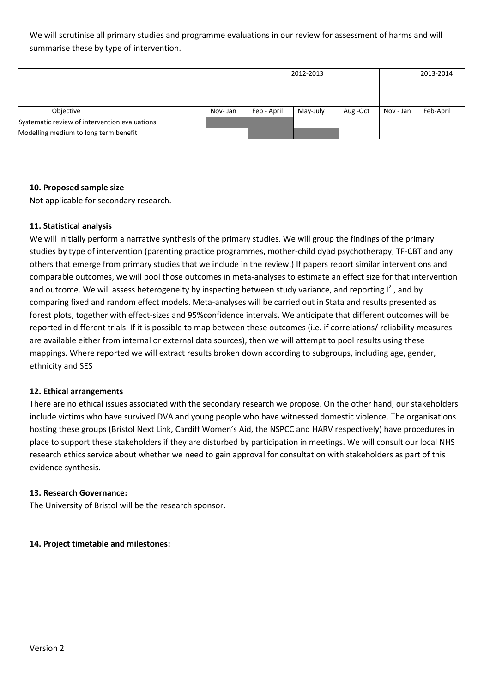We will scrutinise all primary studies and programme evaluations in our review for assessment of harms and will summarise these by type of intervention.

|                                               |         | 2012-2013   | 2013-2014 |         |           |           |
|-----------------------------------------------|---------|-------------|-----------|---------|-----------|-----------|
| Objective                                     | Nov-Jan | Feb - April | May-July  | Aug-Oct | Nov - Jan | Feb-April |
| Systematic review of intervention evaluations |         |             |           |         |           |           |
| Modelling medium to long term benefit         |         |             |           |         |           |           |

### **10. Proposed sample size**

Not applicable for secondary research.

### **11. Statistical analysis**

We will initially perform a narrative synthesis of the primary studies. We will group the findings of the primary studies by type of intervention (parenting practice programmes, mother-child dyad psychotherapy, TF-CBT and any others that emerge from primary studies that we include in the review.) If papers report similar interventions and comparable outcomes, we will pool those outcomes in meta-analyses to estimate an effect size for that intervention and outcome. We will assess heterogeneity by inspecting between study variance, and reporting  $I^2$ , and by comparing fixed and random effect models. Meta-analyses will be carried out in Stata and results presented as forest plots, together with effect-sizes and 95%confidence intervals. We anticipate that different outcomes will be reported in different trials. If it is possible to map between these outcomes (i.e. if correlations/ reliability measures are available either from internal or external data sources), then we will attempt to pool results using these mappings. Where reported we will extract results broken down according to subgroups, including age, gender, ethnicity and SES

### **12. Ethical arrangements**

There are no ethical issues associated with the secondary research we propose. On the other hand, our stakeholders include victims who have survived DVA and young people who have witnessed domestic violence. The organisations hosting these groups (Bristol Next Link, Cardiff Women's Aid, the NSPCC and HARV respectively) have procedures in place to support these stakeholders if they are disturbed by participation in meetings. We will consult our local NHS research ethics service about whether we need to gain approval for consultation with stakeholders as part of this evidence synthesis.

### **13. Research Governance:**

The University of Bristol will be the research sponsor.

### **14. Project timetable and milestones:**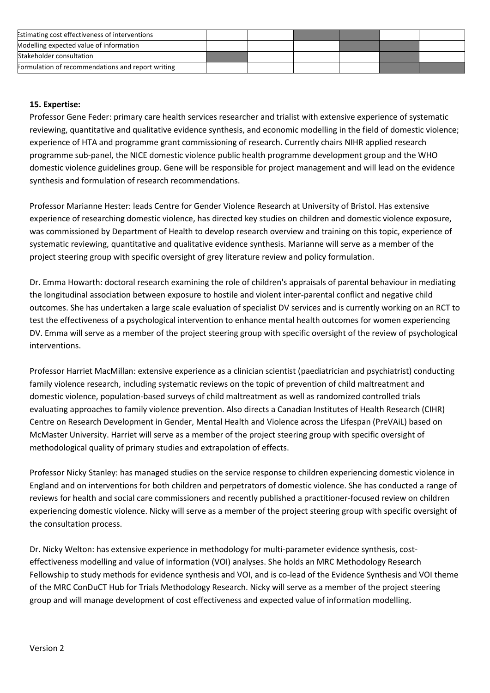| Estimating cost effectiveness of interventions    |  |  |  |
|---------------------------------------------------|--|--|--|
| Modelling expected value of information           |  |  |  |
| Stakeholder consultation                          |  |  |  |
| Formulation of recommendations and report writing |  |  |  |

### **15. Expertise:**

Professor Gene Feder: primary care health services researcher and trialist with extensive experience of systematic reviewing, quantitative and qualitative evidence synthesis, and economic modelling in the field of domestic violence; experience of HTA and programme grant commissioning of research. Currently chairs NIHR applied research programme sub-panel, the NICE domestic violence public health programme development group and the WHO domestic violence guidelines group. Gene will be responsible for project management and will lead on the evidence synthesis and formulation of research recommendations.

Professor Marianne Hester: leads Centre for Gender Violence Research at University of Bristol. Has extensive experience of researching domestic violence, has directed key studies on children and domestic violence exposure, was commissioned by Department of Health to develop research overview and training on this topic, experience of systematic reviewing, quantitative and qualitative evidence synthesis. Marianne will serve as a member of the project steering group with specific oversight of grey literature review and policy formulation.

Dr. Emma Howarth: doctoral research examining the role of children's appraisals of parental behaviour in mediating the longitudinal association between exposure to hostile and violent inter-parental conflict and negative child outcomes. She has undertaken a large scale evaluation of specialist DV services and is currently working on an RCT to test the effectiveness of a psychological intervention to enhance mental health outcomes for women experiencing DV. Emma will serve as a member of the project steering group with specific oversight of the review of psychological interventions.

Professor Harriet MacMillan: extensive experience as a clinician scientist (paediatrician and psychiatrist) conducting family violence research, including systematic reviews on the topic of prevention of child maltreatment and domestic violence, population-based surveys of child maltreatment as well as randomized controlled trials evaluating approaches to family violence prevention. Also directs a Canadian Institutes of Health Research (CIHR) Centre on Research Development in Gender, Mental Health and Violence across the Lifespan (PreVAiL) based on McMaster University. Harriet will serve as a member of the project steering group with specific oversight of methodological quality of primary studies and extrapolation of effects.

Professor Nicky Stanley: has managed studies on the service response to children experiencing domestic violence in England and on interventions for both children and perpetrators of domestic violence. She has conducted a range of reviews for health and social care commissioners and recently published a practitioner-focused review on children experiencing domestic violence. Nicky will serve as a member of the project steering group with specific oversight of the consultation process.

Dr. Nicky Welton: has extensive experience in methodology for multi-parameter evidence synthesis, costeffectiveness modelling and value of information (VOI) analyses. She holds an MRC Methodology Research Fellowship to study methods for evidence synthesis and VOI, and is co-lead of the Evidence Synthesis and VOI theme of the MRC ConDuCT Hub for Trials Methodology Research. Nicky will serve as a member of the project steering group and will manage development of cost effectiveness and expected value of information modelling.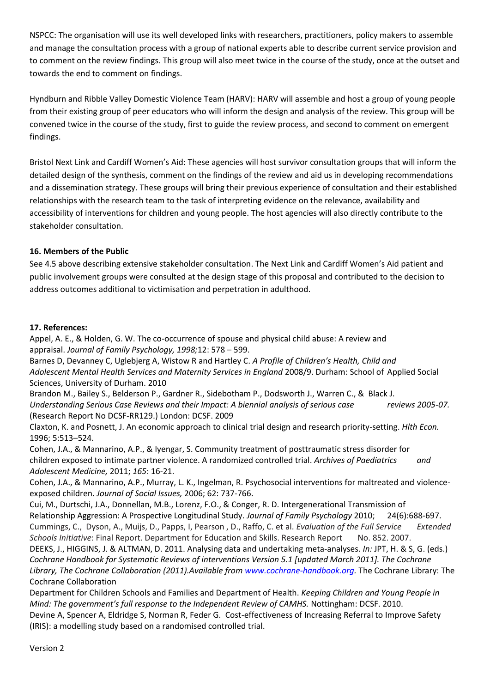NSPCC: The organisation will use its well developed links with researchers, practitioners, policy makers to assemble and manage the consultation process with a group of national experts able to describe current service provision and to comment on the review findings. This group will also meet twice in the course of the study, once at the outset and towards the end to comment on findings.

Hyndburn and Ribble Valley Domestic Violence Team (HARV): HARV will assemble and host a group of young people from their existing group of peer educators who will inform the design and analysis of the review. This group will be convened twice in the course of the study, first to guide the review process, and second to comment on emergent findings.

Bristol Next Link and Cardiff Women's Aid: These agencies will host survivor consultation groups that will inform the detailed design of the synthesis, comment on the findings of the review and aid us in developing recommendations and a dissemination strategy. These groups will bring their previous experience of consultation and their established relationships with the research team to the task of interpreting evidence on the relevance, availability and accessibility of interventions for children and young people. The host agencies will also directly contribute to the stakeholder consultation.

## **16. Members of the Public**

See 4.5 above describing extensive stakeholder consultation. The Next Link and Cardiff Women's Aid patient and public involvement groups were consulted at the design stage of this proposal and contributed to the decision to address outcomes additional to victimisation and perpetration in adulthood.

## **17. References:**

Appel, A. E., & Holden, G. W. The co-occurrence of spouse and physical child abuse: A review and appraisal. *Journal of Family Psychology, 1998;*12: 578 – 599.

Barnes D, Devanney C, Uglebjerg A, Wistow R and Hartley C. *A Profile of Children's Health, Child and Adolescent Mental Health Services and Maternity Services in England* 2008/9. Durham: School of Applied Social Sciences, University of Durham. 2010

Brandon M., Bailey S., Belderson P., Gardner R., Sidebotham P., Dodsworth J., Warren C., & Black J. *Understanding Serious Case Reviews and their Impact: A biennial analysis of serious case reviews 2005-07.*  (Research Report No DCSF-RR129.) London: DCSF. 2009

Claxton, K. and Posnett, J. An economic approach to clinical trial design and research priority-setting. *Hlth Econ.* 1996; 5:513–524.

Cohen, J.A., & Mannarino, A.P., & Iyengar, S. Community treatment of posttraumatic stress disorder for children exposed to intimate partner violence. A randomized controlled trial. *Archives of Paediatrics and Adolescent Medicine,* 2011; *165*: 16-21.

Cohen, J.A., & Mannarino, A.P., Murray, L. K., Ingelman, R. Psychosocial interventions for maltreated and violenceexposed children. *Journal of Social Issues,* 2006; 62: 737-766.

Cui, M., Durtschi, J.A., Donnellan, M.B., Lorenz, F.O., & Conger, R. D. Intergenerational Transmission of Relationship Aggression: A Prospective Longitudinal Study. *Journal of Family Psychology* 2010; 24(6):688-697. Cummings, C., Dyson, A., Muijs, D., Papps, I, Pearson , D., Raffo, C. et al. *Evaluation of the Full Service Extended Schools Initiative*: Final Report. Department for Education and Skills. Research Report No. 852. 2007.

DEEKS, J., HIGGINS, J. & ALTMAN, D. 2011. Analysing data and undertaking meta-analyses. *In:* JPT, H. & S, G. (eds.) *Cochrane Handbook for Systematic Reviews of interventions Version 5.1 [updated March 2011]. The Cochrane Library, The Cochrane Collaboration (2011).Available fro[m www.cochrane-handbook.org.](http://www.cochrane-handbook.org/)* The Cochrane Library: The Cochrane Collaboration

Department for Children Schools and Families and Department of Health. *Keeping Children and Young People in Mind: The government's full response to the Independent Review of CAMHS. Nottingham: DCSF. 2010.* Devine A, Spencer A, Eldridge S, Norman R, Feder G. Cost-effectiveness of Increasing Referral to Improve Safety (IRIS): a modelling study based on a randomised controlled trial.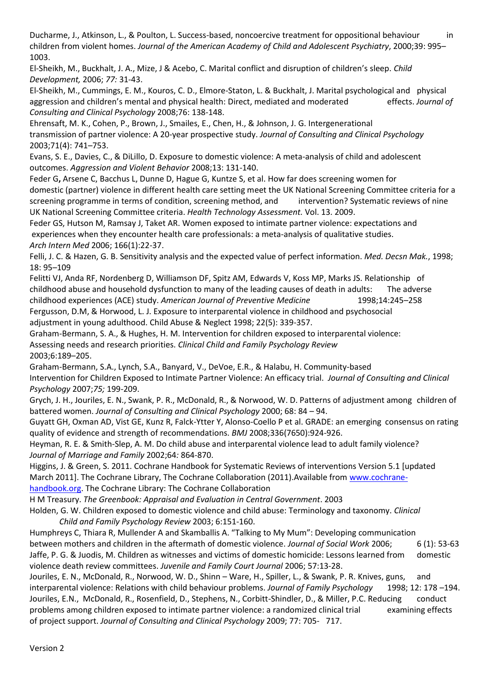Ducharme, J., Atkinson, L., & Poulton, L. Success-based, noncoercive treatment for oppositional behaviour in children from violent homes. *Journal of the American Academy of Child and Adolescent Psychiatry*, 2000;39: 995– 1003.

El-Sheikh, M., Buckhalt, J. A., Mize, J & Acebo, C. Marital conflict and disruption of children's sleep. *Child Development,* 2006; *77:* 31-43.

El-Sheikh, M., Cummings, E. M., Kouros, C. D., Elmore-Staton, L. & Buckhalt, J. Marital psychological and physical aggression and children's mental and physical health: Direct, mediated and moderated effects. *Journal of Consulting and Clinical Psychology* 2008;76: 138-148.

Ehrensaft, M. K., Cohen, P., Brown, J., Smailes, E., Chen, H., & Johnson, J. G. Intergenerational transmission of partner violence: A 20-year prospective study. *Journal of Consulting and Clinical Psychology*  2003;71(4): 741–753.

Evans, S. E., Davies, C., & DiLillo, D. Exposure to domestic violence: A meta-analysis of child and adolescent outcomes. *Aggression and Violent Behavior* 2008;13: 131-140.

Feder G**,** Arsene C, Bacchus L, Dunne D, Hague G, Kuntze S, et al. How far does screening women for domestic (partner) violence in different health care setting meet the UK National Screening Committee criteria for a screening programme in terms of condition, screening method, and intervention? Systematic reviews of nine UK National Screening Committee criteria. *Health Technology Assessment.* Vol. 13. 2009.

Feder GS, Hutson M, Ramsay J, Taket AR. Women exposed to intimate partner violence: expectations and experiences when they encounter health care professionals: a meta-analysis of qualitative studies. *Arch Intern Med* 2006; 166(1):22-37.

Felli, J. C. & Hazen, G. B. Sensitivity analysis and the expected value of perfect information. *Med. Decsn Mak.*, 1998; 18: 95–109

Felitti VJ, Anda RF, Nordenberg D, Williamson DF, Spitz AM, Edwards V, Koss MP, Marks JS. [Relationship](http://www.ncbi.nlm.nih.gov/entrez/query.fcgi?cmd=Retrieve&db=pubmed&dopt=Abstract&list_uids=9635069) of [childhood abuse and household dysfunction to](http://www.ncbi.nlm.nih.gov/entrez/query.fcgi?cmd=Retrieve&db=pubmed&dopt=Abstract&list_uids=9635069) many of the leading causes of death in adults: The adverse [childhood experiences \(ACE\) study.](http://www.ncbi.nlm.nih.gov/entrez/query.fcgi?cmd=Retrieve&db=pubmed&dopt=Abstract&list_uids=9635069) *American Journal of Preventive Medicine* 1998;14:245–258 Fergusson, D.M, & Horwood, L. J. Exposure to interparental violence in childhood and psychosocial adjustment in young adulthood. Child Abuse & Neglect 1998; 22(5): 339-357.

Graham-Bermann, S. A., & Hughes, H. M. Intervention for children exposed to interparental violence: Assessing needs and research priorities. *Clinical Child and Family Psychology Review* 2003;6:189–205.

Graham-Bermann, S.A., Lynch, S.A., Banyard, V., DeVoe, E.R., & Halabu, H. Community-based Intervention for Children Exposed to Intimate Partner Violence: An efficacy trial. *Journal of Consulting and Clinical Psychology* 2007;*75;* 199-209.

Grych, J. H., Jouriles, E. N., Swank, P. R., McDonald, R., & Norwood, W. D. Patterns of adjustment among children of battered women. *Journal of Consulting and Clinical Psychology* 2000; 68: 84 – 94.

Guyatt GH, Oxman AD, Vist GE, Kunz R, Falck-Ytter Y, Alonso-Coello P et al. GRADE: an emerging consensus on rating quality of evidence and strength of recommendations. *BMJ* 2008;336(7650):924-926.

Heyman, R. E. & Smith-Slep, A. M. Do child abuse and interparental violence lead to adult family violence? *Journal of Marriage and Family* 2002;64*:* 864-870.

Higgins, J. & Green, S. 2011. Cochrane Handbook for Systematic Reviews of interventions Version 5.1 [updated March 2011]. The Cochrane Library, The Cochrane Collaboration (2011).Available fro[m www.cochrane](http://www.cochrane-handbook.org/)[handbook.org.](http://www.cochrane-handbook.org/) The Cochrane Library: The Cochrane Collaboration

H M Treasury. *The Greenbook: Appraisal and Evaluation in Central Government*. 2003

Holden, G. W. Children exposed to domestic violence and child abuse: Terminology and taxonomy. *Clinical Child and Family Psychology Review* 2003; 6:151-160.

Humphreys C, Thiara R, Mullender A and Skamballis A. "Talking to My Mum": Developing communication between mothers and children in the aftermath of domestic violence. *Journal of Social Work* 2006; 6 (1): 53-63 Jaffe, P. G. & Juodis, M. Children as witnesses and victims of domestic homicide: Lessons learned from domestic violence death review committees. *Juvenile and Family Court Journal* 2006; 57:13-28.

Jouriles, E. N., McDonald, R., Norwood, W. D., Shinn – Ware, H., Spiller, L., & Swank, P. R. Knives, guns, and interparental violence: Relations with child behaviour problems. *Journal of Family Psychology* 1998; 12: 178 –194. Jouriles, E.N., McDonald, R., Rosenfield, D., Stephens, N., Corbitt-Shindler, D., & Miller, P.C. Reducing conduct problems among children exposed to intimate partner violence: a randomized clinical trial examining effects of project support. *Journal of Consulting and Clinical Psychology* 2009; 77: 705- 717.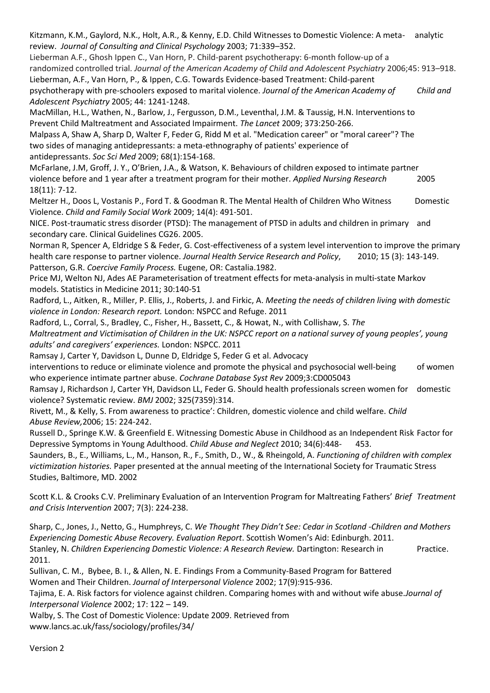Kitzmann, K.M., Gaylord, N.K., Holt, A.R., & Kenny, E.D. Child Witnesses to Domestic Violence: A meta- analytic review. *Journal of Consulting and Clinical Psychology* 2003; 71:339–352. Lieberman A.F., Ghosh Ippen C., Van Horn, P. Child-parent psychotherapy: 6-month follow-up of a randomized controlled trial. *Journal of the American Academy of Child and Adolescent Psychiatry* 2006;45: 913–918. Lieberman, A.F., Van Horn, P., & Ippen, C.G. Towards Evidence-based Treatment: Child-parent psychotherapy with pre-schoolers exposed to marital violence. *Journal of the American Academy of Child and Adolescent Psychiatry* 2005; 44: 1241-1248. MacMillan, H.L., Wathen, N., Barlow, J., Fergusson, D.M., Leventhal, J.M. & Taussig, H.N. Interventions to Prevent Child Maltreatment and Associated Impairment. *The Lancet* 2009; 373:250-266. Malpass A, Shaw A, Sharp D, Walter F, Feder G, Ridd M et al. "Medication career" or "moral career"? The two sides of managing antidepressants: a meta-ethnography of patients' experience of antidepressants. *Soc Sci Med* 2009; 68(1):154-168. McFarlane, J.M, Groff, J. Y., O'Brien, J.A., & Watson, K. Behaviours of children exposed to intimate partner violence before and 1 year after a treatment program for their mother. *Applied Nursing Research* 2005 18(11): 7-12. Meltzer H., Doos L, Vostanis P., Ford T. & Goodman R. The Mental Health of Children Who Witness Domestic Violence. *Child and Family Social Work* 2009; 14(4): 491-501. NICE. Post-traumatic stress disorder (PTSD): The management of PTSD in adults and children in primary and secondary care. Clinical Guidelines CG26. 2005. Norman R, Spencer A, Eldridge S & Feder, G. Cost-effectiveness of a system level intervention to improve the primary health care response to partner violence. *Journal Health Service Research and Policy*, 2010; 15 (3): 143-149. Patterson, G.R. *Coercive Family Process.* Eugene, OR: Castalia.1982. Price MJ, Welton NJ, Ades AE Parameterisation of treatment effects for meta-analysis in multi-state Markov models. Statistics in Medicine 2011; 30:140-51 Radford, L., Aitken, R., Miller, P. Ellis, J., Roberts, J. and Firkic, A. *Meeting the needs of children living with domestic violence in London: Research report.* London: NSPCC and Refuge. 2011 Radford, L., Corral, S., Bradley, C., Fisher, H., Bassett, C., & Howat, N., with Collishaw, S. *The Maltreatment and Victimisation of Children in the UK: NSPCC report on a national survey of young peoples', young adults' and caregivers' experiences.* London: NSPCC. 2011 Ramsay J, Carter Y, Davidson L, Dunne D, Eldridge S, Feder G et al. Advocacy interventions to reduce or eliminate violence and promote the physical and psychosocial well-being of women who experience intimate partner abuse. *Cochrane Database Syst Rev* 2009;3:CD005043 Ramsay J, Richardson J, Carter YH, Davidson LL, Feder G. Should health professionals screen women for domestic violence? Systematic review. *BMJ* 2002; 325(7359):314. Rivett, M., & Kelly, S. From awareness to practice': Children, domestic violence and child welfare. *Child Abuse Review,*2006; 15: 224-242. Russell D., Springe K.W. & Greenfield E. Witnessing Domestic Abuse in Childhood as an Independent Risk Factor for Depressive Symptoms in Young Adulthood. *Child Abuse and Neglect* 2010; 34(6):448- 453. Saunders, B., E., Williams, L., M., Hanson, R., F., Smith, D., W., & Rheingold, A. *Functioning of children with complex victimization histories.* Paper presented at the annual meeting of the International Society for Traumatic Stress Studies, Baltimore, MD. 2002 Scott K.L. & Crooks C.V. Preliminary Evaluation of an Intervention Program for Maltreating Fathers' *Brief Treatment and Crisis Intervention* 2007; 7(3): 224-238. Sharp, C., Jones, J., Netto, G., Humphreys, C. *We Thought They Didn't See: Cedar in Scotland -Children and Mothers Experiencing Domestic Abuse Recovery. Evaluation Report*. Scottish Women's Aid: Edinburgh. 2011. Stanley, N. *Children Experiencing Domestic Violence: A Research Review.* Dartington: Research in Practice. 2011. Sullivan, C. M., Bybee, B. I., & Allen, N. E. Findings From a Community-Based Program for Battered Women and Their Children. *Journal of Interpersonal Violence* 2002; 17(9):915-936. Tajima, E. A. Risk factors for violence against children. Comparing homes with and without wife abuse.*Journal of Interpersonal Violence* 2002; 17: 122 – 149. Walby, S. The Cost of Domestic Violence: Update 2009. Retrieved from

www.lancs.ac.uk/fass/sociology/profiles/34/